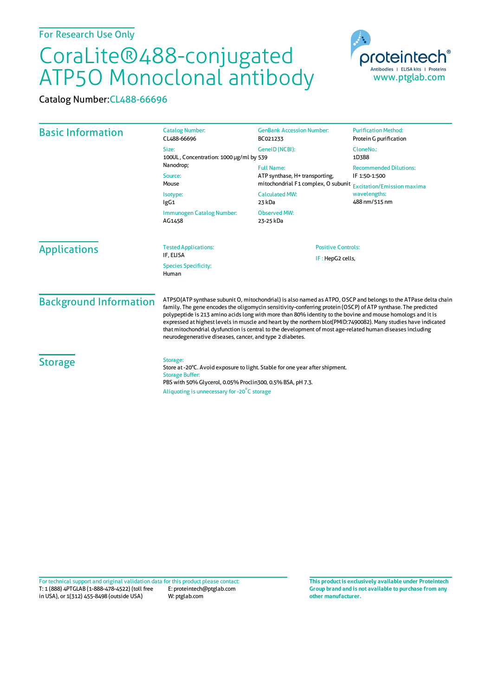## CoraLite®488-conjugated ATP5O Monoclonal antibody

Catalog Number:CL488-66696

| <b>Basic Information</b>             | <b>Catalog Number:</b><br>CL488-66696                                                                                                                                                                                                                                                                                                                                                                                                                                                                                                                                                                                                    | <b>GenBank Accession Number:</b><br>BC021233                                                                                  | <b>Purification Method:</b><br>Protein G purification                                                                |                                     |
|--------------------------------------|------------------------------------------------------------------------------------------------------------------------------------------------------------------------------------------------------------------------------------------------------------------------------------------------------------------------------------------------------------------------------------------------------------------------------------------------------------------------------------------------------------------------------------------------------------------------------------------------------------------------------------------|-------------------------------------------------------------------------------------------------------------------------------|----------------------------------------------------------------------------------------------------------------------|-------------------------------------|
|                                      | Size:<br>100UL, Concentration: 1000 µg/ml by 539                                                                                                                                                                                                                                                                                                                                                                                                                                                                                                                                                                                         | GenelD (NCBI):                                                                                                                | CloneNo.:<br>1D3B8                                                                                                   |                                     |
|                                      | Nanodrop;<br>Source:<br>Mouse<br>Isotype:<br>lgG1                                                                                                                                                                                                                                                                                                                                                                                                                                                                                                                                                                                        | <b>Full Name:</b><br>ATP synthase, H+ transporting,<br>mitochondrial F1 complex, O subunit<br><b>Calculated MW:</b><br>23 kDa | <b>Recommended Dilutions:</b><br>IF 1:50-1:500<br><b>Excitation/Emission maxima</b><br>wavelengths:<br>488 nm/515 nm |                                     |
|                                      |                                                                                                                                                                                                                                                                                                                                                                                                                                                                                                                                                                                                                                          |                                                                                                                               |                                                                                                                      | Immunogen Catalog Number:<br>AG1458 |
|                                      | <b>Applications</b>                                                                                                                                                                                                                                                                                                                                                                                                                                                                                                                                                                                                                      | <b>Tested Applications:</b><br>IF. ELISA                                                                                      |                                                                                                                      | <b>Positive Controls:</b>           |
| <b>Species Specificity:</b><br>Human |                                                                                                                                                                                                                                                                                                                                                                                                                                                                                                                                                                                                                                          | IF: HepG2 cells,                                                                                                              |                                                                                                                      |                                     |
| <b>Background Information</b>        | ATP5O(ATP synthase subunit O, mitochondrial) is also named as ATPO, OSCP and belongs to the ATPase delta chain<br>family. The gene encodes the oligomycin sensitivity-conferring protein (OSCP) of ATP synthase. The predicted<br>polypeptide is 213 amino acids long with more than 80% identity to the bovine and mouse homologs and it is<br>expressed at highest levels in muscle and heart by the northern blot(PMID:7490082). Many studies have indicated<br>that mitochondrial dysfunction is central to the development of most age-related human diseases including<br>neurodegenerative diseases, cancer, and type 2 diabetes. |                                                                                                                               |                                                                                                                      |                                     |
| <b>Storage</b>                       | Storage:<br>Store at -20°C. Avoid exposure to light. Stable for one year after shipment.<br><b>Storage Buffer:</b><br>PBS with 50% Glycerol, 0.05% Proclin300, 0.5% BSA, pH 7.3.                                                                                                                                                                                                                                                                                                                                                                                                                                                         |                                                                                                                               |                                                                                                                      |                                     |
|                                      | Aliquoting is unnecessary for -20°C storage                                                                                                                                                                                                                                                                                                                                                                                                                                                                                                                                                                                              |                                                                                                                               |                                                                                                                      |                                     |

T: 1 (888) 4PTGLAB (1-888-478-4522) (toll free in USA), or 1(312) 455-8498 (outside USA) E: proteintech@ptglab.com W: ptglab.com Fortechnical support and original validation data forthis product please contact: **This productis exclusively available under Proteintech**

**Group brand and is not available to purchase from any other manufacturer.**